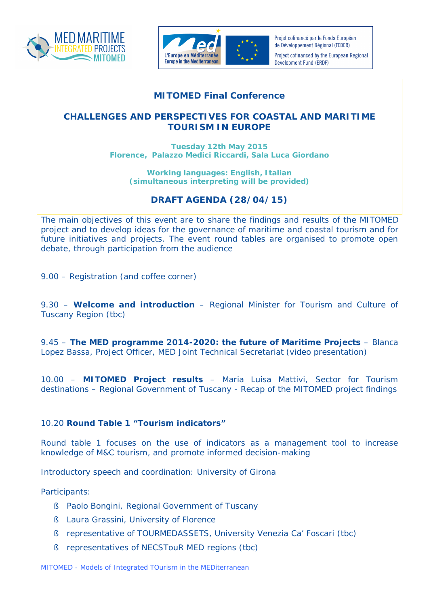



Projet cofinancé par le Fonds Européen de Développement Régional (FEDER) Project cofinanced by the European Regional Development Fund (ERDF)

## **MITOMED Final Conference**

## **CHALLENGES AND PERSPECTIVES FOR COASTAL AND MARITIME TOURISM IN EUROPE**

**Tuesday 12th May 2015 Florence, Palazzo Medici Riccardi, Sala Luca Giordano**

**Working languages: English, Italian** *(simultaneous interpreting will be provided)*

## *DRAFT AGENDA (28/04/15)*

*The main objectives of this event are to share the findings and results of the MITOMED project and to develop ideas for the governance of maritime and coastal tourism and for future initiatives and projects. The event round tables are organised to promote open debate, through participation from the audience*

*9.00 – Registration (and coffee corner)*

9.30 – **Welcome and introduction** – Regional Minister for Tourism and Culture of Tuscany Region *(tbc)*

9.45 – **The MED programme 2014-2020: the future of Maritime Projects** – Blanca Lopez Bassa, Project Officer, MED Joint Technical Secretariat (video presentation)

10.00 – **MITOMED Project results** – Maria Luisa Mattivi, Sector for Tourism destinations – Regional Government of Tuscany - Recap of the MITOMED project findings

## 10.20 **Round Table 1 "Tourism indicators"**

*Round table 1 focuses on the use of indicators as a management tool to increase knowledge of M&C tourism, and promote informed decision-making*

Introductory speech and coordination: University of Girona

*Participants:*

- § Paolo Bongini, Regional Government of Tuscany
- § Laura Grassini, University of Florence
- § representative of TOURMEDASSETS, University Venezia Ca' Foscari (*tbc*)
- § representatives of NECSTouR MED regions *(tbc)*

*MITOMED - Models of Integrated TOurism in the MEDiterranean*